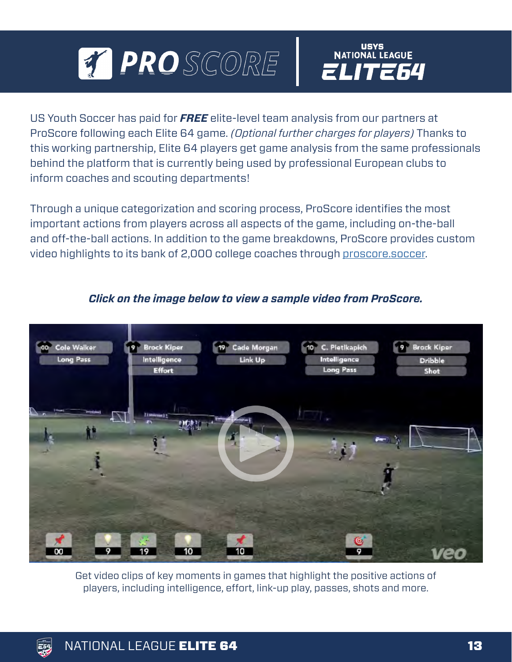

US Youth Soccer has paid for *FREE* elite-level team analysis from our partners at ProScore following each Elite 64 game. *(Optional further charges for players)* Thanks to this working partnership, Elite 64 players get game analysis from the same professionals behind the platform that is currently being used by professional European clubs to inform coaches and scouting departments!

**USYS** 

**NATIONAL LEAGUE** 

.ITE64

Through a unique categorization and scoring process, ProScore identifies the most important actions from players across all aspects of the game, including on-the-ball and off-the-ball actions. In addition to the game breakdowns, ProScore provides custom video highlights to its bank of 2,000 college coaches through [proscore.soccer.](https://proscore.soccer/)



## *Click on the image below to view a sample video from ProScore.*

Get video clips of key moments in games that highlight the positive actions of players, including intelligence, effort, link-up play, passes, shots and more.